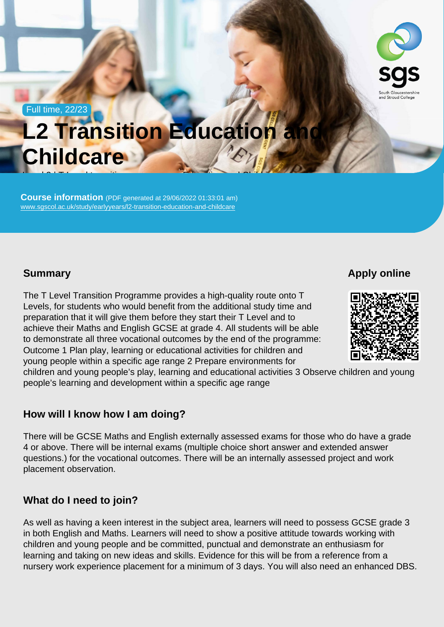Full time, 22/23

# L2 Transition Education and **Childcare** Level <del>2 | T Level transition</del> programme - Education programme - Education and Childcare<br>Child

Course information (PDF generated at 29/06/2022 01:33:01 am) [www.sgscol.ac.uk/study/earlyyears/l2-transition-education-and-childcare](https://www.sgscol.ac.uk/study/earlyyears/l2-transition-education-and-childcare)

**Summary** 

Apply online

The T Level Transition Programme provides a high-quality route onto T Levels, for students who would benefit from the additional study time and preparation that it will give them before they start their T Level and to achieve their Maths and English GCSE at grade 4. All students will be able to demonstrate all three vocational outcomes by the end of the programme: Outcome 1 Plan play, learning or educational activities for children and young people within a specific age range 2 Prepare environments for children and young people's play, learning and educational activities 3 Observe children and young people's learning and development within a specific age range

How will I know how I am doing?

There will be GCSE Maths and English externally assessed exams for those who do have a grade 4 or above. There will be internal exams (multiple choice short answer and extended answer questions.) for the vocational outcomes. There will be an internally assessed project and work placement observation.

What do I need to join?

As well as having a keen interest in the subject area, learners will need to possess GCSE grade 3 in both English and Maths. Learners will need to show a positive attitude towards working with children and young people and be committed, punctual and demonstrate an enthusiasm for learning and taking on new ideas and skills. Evidence for this will be from a reference from a nursery work experience placement for a minimum of 3 days. You will also need an enhanced DBS.